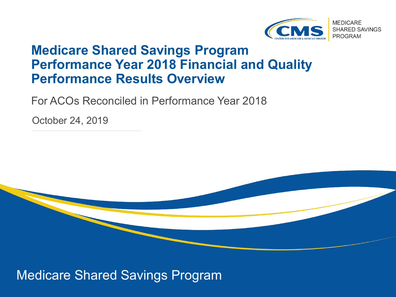

### **Medicare Shared Savings Program Performance Year 2018 Financial and Quality Performance Results Overview**

For ACOs Reconciled in Performance Year 2018

October 24, 2019



Medicare Shared Savings Program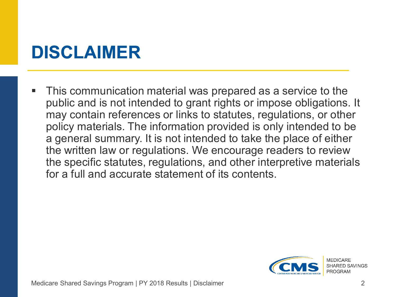## **DISCLAIMER**

 This communication material was prepared as a service to the public and is not intended to grant rights or impose obligations. It may contain references or links to statutes, regulations, or other policy materials. The information provided is only intended to be a general summary. It is not intended to take the place of either the written law or regulations. We encourage readers to review the specific statutes, regulations, and other interpretive materials for a full and accurate statement of its contents.

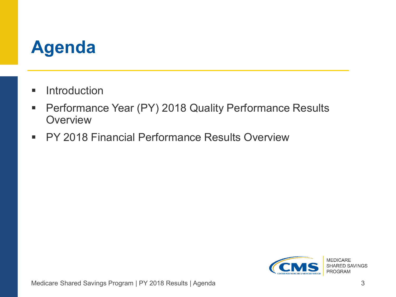## **Agenda**

- **Introduction**
- **Performance Year (PY) 2018 Quality Performance Results Overview**
- **PY 2018 Financial Performance Results Overview**

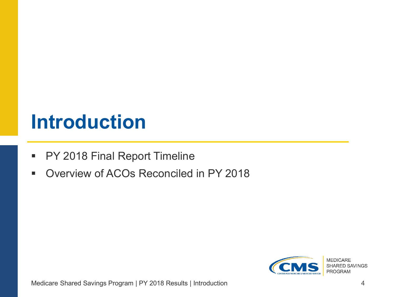## **Introduction**

- **PY 2018 Final Report Timeline**
- **Diverview of ACOs Reconciled in PY 2018**

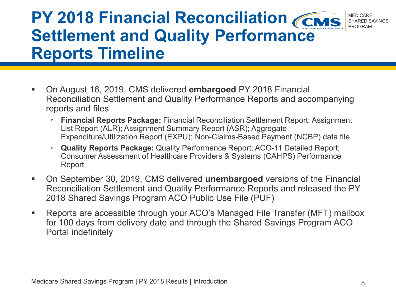#### **PY 2018 Financial Reconciliation CCMS MEDICARE** SHARED SAVINGS **PROGRAM Settlement and Quality Performance Reports Timeline**

- On August 16, 2019, CMS delivered **embargoed** PY 2018 Financial Reconciliation Settlement and Quality Performance Reports and accompanying reports and files
	- **Financial Reports Package:** Financial Reconciliation Settlement Report; Assignment List Report (ALR); Assignment Summary Report (ASR); Aggregate Expenditure/Utilization Report (EXPU); Non-Claims-Based Payment (NCBP) data file
	- **Quality Reports Package:** Quality Performance Report; ACO-11 Detailed Report; Consumer Assessment of Healthcare Providers & Systems (CAHPS) Performance Report
- On September 30, 2019, CMS delivered **unembargoed** versions of the Financial Reconciliation Settlement and Quality Performance Reports and released the PY 2018 Shared Savings Program ACO Public Use File (PUF)
- Reports are accessible through your ACO's Managed File Transfer (MFT) mailbox for 100 days from delivery date and through the Shared Savings Program ACO Portal indefinitely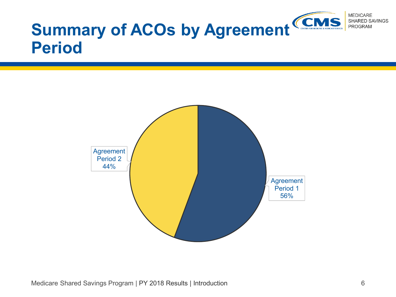

# **Period**

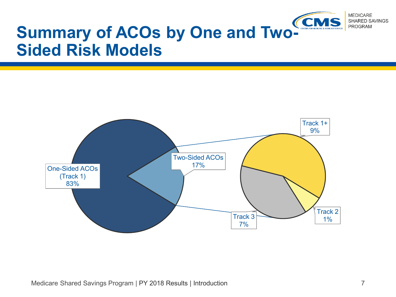

### **Summary of ACOs by One and Two-Sided Risk Models**

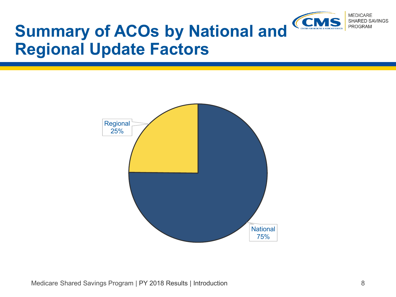

## **Summary of ACOs by National and Regional Update Factors**

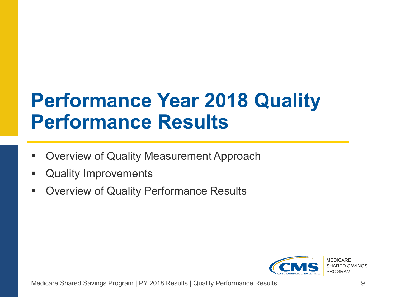# **Performance Year 2018 Quality Performance Results**

- Overview of Quality Measurement Approach
- **Quality Improvements**
- **Dimergien Containally Performance Results**

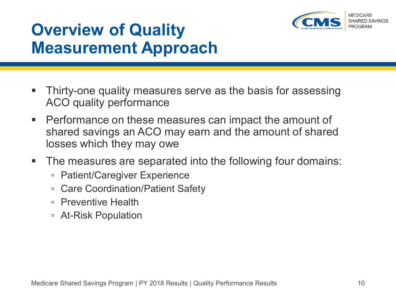

## **Overview of Quality Measurement Approach**

- Thirty-one quality measures serve as the basis for assessing ACO quality performance
- **Performance on these measures can impact the amount of** shared savings an ACO may earn and the amount of shared losses which they may owe
- **The measures are separated into the following four domains:** 
	- Patient/Caregiver Experience
	- Care Coordination/Patient Safety
	- Preventive Health
	- At-Risk Population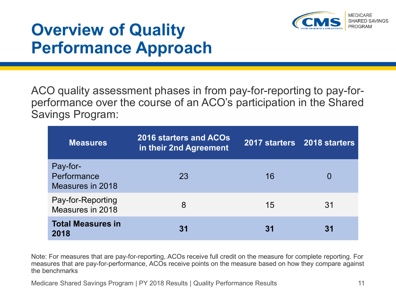

### **Overview of Quality Performance Approach**

ACO quality assessment phases in from pay-for-reporting to pay-forperformance over the course of an ACO's participation in the Shared Savings Program:

| <b>Measures</b>                             | <b>2016 starters and ACOs</b><br>in their 2nd Agreement | 2017 starters 2018 starters |    |
|---------------------------------------------|---------------------------------------------------------|-----------------------------|----|
| Pay-for-<br>Performance<br>Measures in 2018 | 23                                                      | 16                          |    |
| Pay-for-Reporting<br>Measures in 2018       | 8                                                       | 15                          | 31 |
| <b>Total Measures in</b><br>2018            | 31                                                      | 31                          |    |

Note: For measures that are pay-for-reporting, ACOs receive full credit on the measure for complete reporting. For measures that are pay-for-performance, ACOs receive points on the measure based on how they compare against the benchmarks

Medicare Shared Savings Program | PY 2018 Results | Quality Performance Results 11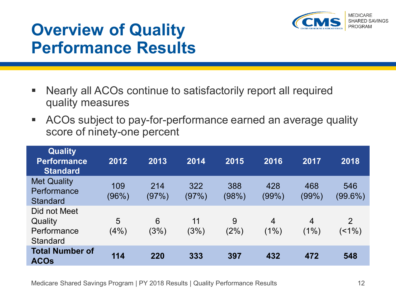

### **Overview of Quality Performance Results**

- Nearly all ACOs continue to satisfactorily report all required quality measures
- ACOs subject to pay-for-performance earned an average quality score of ninety-one percent

| <b>Quality</b><br><b>Performance</b><br><b>Standard</b>   | 2012         | 2013         | 2014         | 2015         | 2016                   | 2017                   | 2018              |
|-----------------------------------------------------------|--------------|--------------|--------------|--------------|------------------------|------------------------|-------------------|
| <b>Met Quality</b><br>Performance<br><b>Standard</b>      | 109<br>(96%) | 214<br>(97%) | 322<br>(97%) | 388<br>(98%) | 428<br>(99%)           | 468<br>$(99\%)$        | 546<br>$(99.6\%)$ |
| Did not Meet<br>Quality<br>Performance<br><b>Standard</b> | 5<br>(4%)    | 6<br>(3%)    | 11<br>(3%)   | 9<br>(2%)    | $\overline{4}$<br>(1%) | $\overline{4}$<br>(1%) | 2<br>$($ < 1%)    |
| <b>Total Number of</b><br><b>ACOs</b>                     | 114          | 220          | 333          | 397          | 432                    | 472                    | 548               |

Medicare Shared Savings Program | PY 2018 Results | Quality Performance Results 12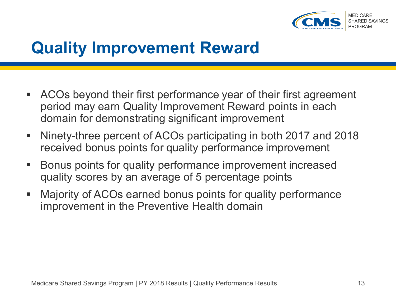

### **Quality Improvement Reward**

- ACOs beyond their first performance year of their first agreement period may earn Quality Improvement Reward points in each domain for demonstrating significant improvement
- Ninety-three percent of ACOs participating in both 2017 and 2018 received bonus points for quality performance improvement
- Bonus points for quality performance improvement increased quality scores by an average of 5 percentage points
- Majority of ACOs earned bonus points for quality performance improvement in the Preventive Health domain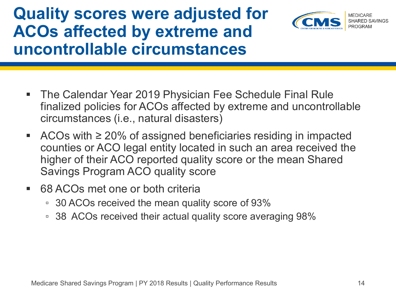### **Quality scores were adjusted for ACOs affected by extreme and uncontrollable circumstances**



- The Calendar Year 2019 Physician Fee Schedule Final Rule finalized policies for ACOs affected by extreme and uncontrollable circumstances (i.e., natural disasters)
- ACOs with  $\geq$  20% of assigned beneficiaries residing in impacted counties or ACO legal entity located in such an area received the higher of their ACO reported quality score or the mean Shared Savings Program ACO quality score
- 68 ACOs met one or both criteria
	- 30 ACOs received the mean quality score of 93%
	- 38 ACOs received their actual quality score averaging 98%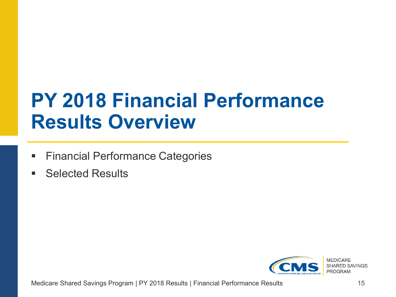# **PY 2018 Financial Performance Results Overview**

- **Financial Performance Categories**
- Selected Results

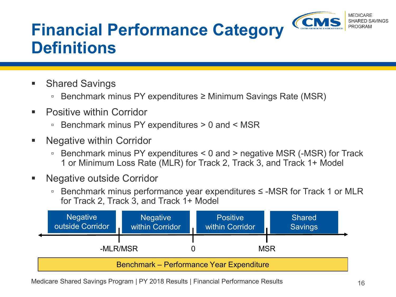

## **Financial Performance Category Definitions**

- Shared Savings
	- Benchmark minus PY expenditures ≥ Minimum Savings Rate (MSR)
- Positive within Corridor
	- Benchmark minus PY expenditures > 0 and < MSR
- Negative within Corridor
	- Benchmark minus PY expenditures < 0 and > negative MSR (-MSR) for Track 1 or Minimum Loss Rate (MLR) for Track 2, Track 3, and Track 1+ Model
- Negative outside Corridor
	- Benchmark minus performance year expenditures ≤ -MSR for Track 1 or MLR for Track 2, Track 3, and Track 1+ Model

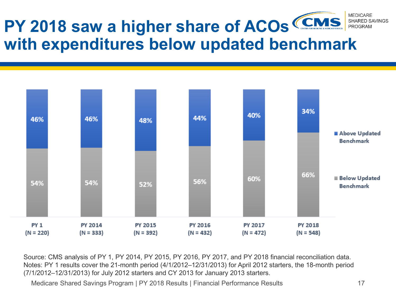#### **MEDICARE PY 2018 saw a higher share of ACOs**  SHARED SAVINGS PROGRAM **with expenditures below updated benchmark**



Source: CMS analysis of PY 1, PY 2014, PY 2015, PY 2016, PY 2017, and PY 2018 financial reconciliation data. Notes: PY 1 results cover the 21-month period (4/1/2012–12/31/2013) for April 2012 starters, the 18-month period (7/1/2012–12/31/2013) for July 2012 starters and CY 2013 for January 2013 starters.

Medicare Shared Savings Program | PY 2018 Results | Financial Performance Results 17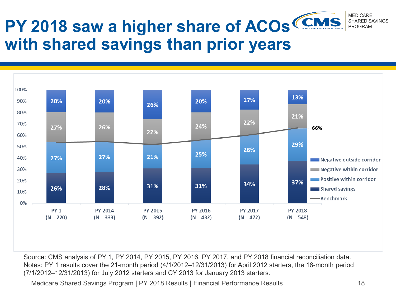#### **MEDICARE PY 2018 saw a higher share of ACOs**  SHARED SAVINGS PROGRAM **with shared savings than prior years**



Source: CMS analysis of PY 1, PY 2014, PY 2015, PY 2016, PY 2017, and PY 2018 financial reconciliation data. Notes: PY 1 results cover the 21-month period (4/1/2012–12/31/2013) for April 2012 starters, the 18-month period (7/1/2012–12/31/2013) for July 2012 starters and CY 2013 for January 2013 starters.

Medicare Shared Savings Program | PY 2018 Results | Financial Performance Results 18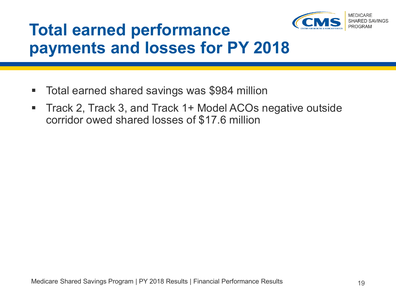

### **Total earned performance payments and losses for PY 2018**

- Total earned shared savings was \$984 million
- Track 2, Track 3, and Track 1+ Model ACOs negative outside corridor owed shared losses of \$17.6 million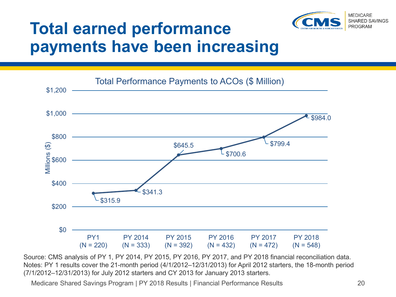

### **Total earned performance payments have been increasing**



Source: CMS analysis of PY 1, PY 2014, PY 2015, PY 2016, PY 2017, and PY 2018 financial reconciliation data. Notes: PY 1 results cover the 21-month period (4/1/2012–12/31/2013) for April 2012 starters, the 18-month period (7/1/2012–12/31/2013) for July 2012 starters and CY 2013 for January 2013 starters.

Medicare Shared Savings Program | PY 2018 Results | Financial Performance Results 20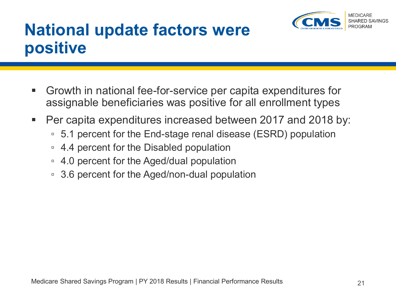

### **National update factors were positive**

- Growth in national fee-for-service per capita expenditures for assignable beneficiaries was positive for all enrollment types
- Per capita expenditures increased between 2017 and 2018 by:
	- 5.1 percent for the End-stage renal disease (ESRD) population
	- 4.4 percent for the Disabled population
	- 4.0 percent for the Aged/dual population
	- 3.6 percent for the Aged/non-dual population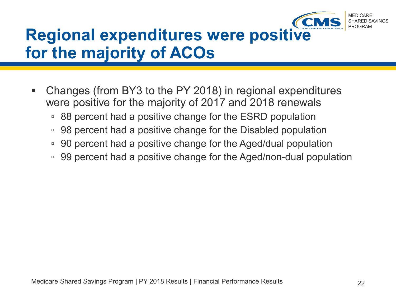

### **Regional expenditures were positive for the majority of ACOs**

- Changes (from BY3 to the PY 2018) in regional expenditures were positive for the majority of 2017 and 2018 renewals
	- 88 percent had a positive change for the ESRD population
	- 98 percent had a positive change for the Disabled population
	- 90 percent had a positive change for the Aged/dual population
	- □ 99 percent had a positive change for the Aged/non-dual population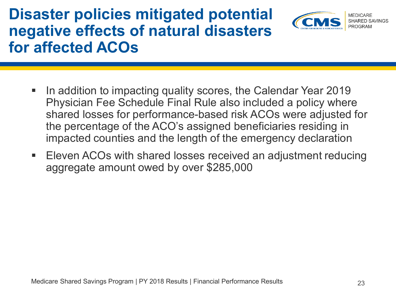### **Disaster policies mitigated potential negative effects of natural disasters for affected ACOs**



- In addition to impacting quality scores, the Calendar Year 2019 Physician Fee Schedule Final Rule also included a policy where shared losses for performance-based risk ACOs were adjusted for the percentage of the ACO's assigned beneficiaries residing in impacted counties and the length of the emergency declaration
- Eleven ACOs with shared losses received an adjustment reducing aggregate amount owed by over \$285,000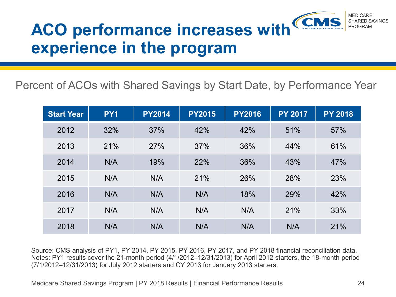#### **MEDICARE** SHARED SAVINGS **ACO performance increases with**  PROGRAM **experience in the program**

Percent of ACOs with Shared Savings by Start Date, by Performance Year

| <b>Start Year</b> | PY <sub>1</sub> | <b>PY2014</b> | <b>PY2015</b> | <b>PY2016</b> | <b>PY 2017</b> | <b>PY 2018</b> |
|-------------------|-----------------|---------------|---------------|---------------|----------------|----------------|
| 2012              | 32%             | 37%           | 42%           | 42%           | 51%            | 57%            |
| 2013              | 21%             | 27%           | 37%           | 36%           | 44%            | 61%            |
| 2014              | N/A             | 19%           | 22%           | 36%           | 43%            | 47%            |
| 2015              | N/A             | N/A           | 21%           | 26%           | 28%            | 23%            |
| 2016              | N/A             | N/A           | N/A           | 18%           | 29%            | 42%            |
| 2017              | N/A             | N/A           | N/A           | N/A           | 21%            | 33%            |
| 2018              | N/A             | N/A           | N/A           | N/A           | N/A            | 21%            |

Source: CMS analysis of PY1, PY 2014, PY 2015, PY 2016, PY 2017, and PY 2018 financial reconciliation data. Notes: PY1 results cover the 21-month period (4/1/2012–12/31/2013) for April 2012 starters, the 18-month period (7/1/2012–12/31/2013) for July 2012 starters and CY 2013 for January 2013 starters.

Medicare Shared Savings Program | PY 2018 Results | Financial Performance Results 24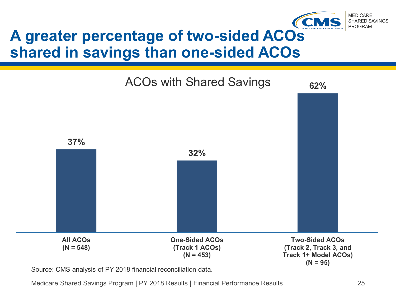

### **A greater percentage of two-sided ACOs shared in savings than one-sided ACOs**



Source: CMS analysis of PY 2018 financial reconciliation data.

Medicare Shared Savings Program | PY 2018 Results | Financial Performance Results 25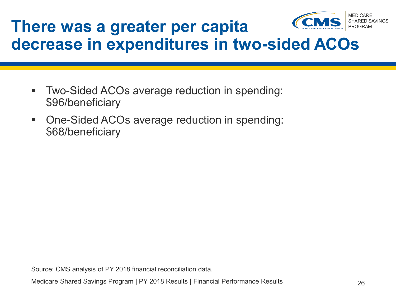

### **There was a greater per capita decrease in expenditures in two-sided ACOs**

- Two-Sided ACOs average reduction in spending: \$96/beneficiary
- One-Sided ACOs average reduction in spending: \$68/beneficiary

Source: CMS analysis of PY 2018 financial reconciliation data.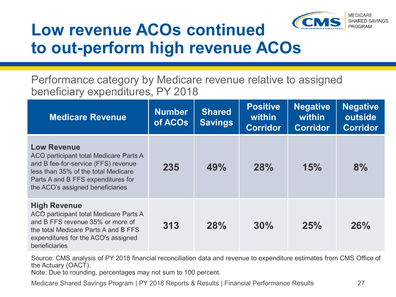

### **Low revenue ACOs continued to out-perform high revenue ACOs**

Performance category by Medicare revenue relative to assigned beneficiary expenditures, PY 2018

| <b>Medicare Revenue</b>                                                                                                                                                                                              | <b>Number</b><br>of ACOs | <b>Shared</b><br><b>Savings</b> | <b>Positive</b><br>within<br><b>Corridor</b> | <b>Negative</b><br>within<br><b>Corridor</b> | <b>Negative</b><br>outside<br><b>Corridor</b> |
|----------------------------------------------------------------------------------------------------------------------------------------------------------------------------------------------------------------------|--------------------------|---------------------------------|----------------------------------------------|----------------------------------------------|-----------------------------------------------|
| <b>Low Revenue</b><br>ACO participant total Medicare Parts A<br>and B fee-for-service (FFS) revenue<br>less than 35% of the total Medicare<br>Parts A and B FFS expenditures for<br>the ACO's assigned beneficiaries | 235                      | 49%                             | <b>28%</b>                                   | 15%                                          | 8%                                            |
| <b>High Revenue</b><br>ACO participant total Medicare Parts A<br>and B FFS revenue 35% or more of<br>the total Medicare Parts A and B FFS<br>expenditures for the ACO's assigned<br>beneficiaries                    | 313                      | 28%                             | 30%                                          | 25%                                          | 26%                                           |

Source: CMS analysis of PY 2018 financial reconciliation data and revenue to expenditure estimates from CMS Office of the Actuary (OACT).

Note: Due to rounding, percentages may not sum to 100 percent.

Medicare Shared Savings Program | PY 2018 Reports & Results | Financial Performance Results 27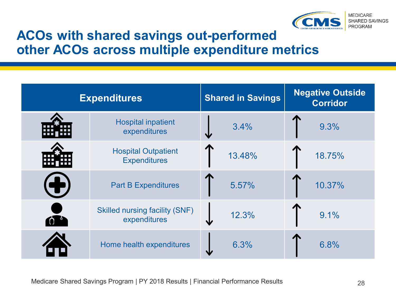

### **ACOs with shared savings out-performed other ACOs across multiple expenditure metrics**

| <b>Expenditures</b> |                                                       | <b>Shared in Savings</b> | <b>Negative Outside</b><br><b>Corridor</b> |  |
|---------------------|-------------------------------------------------------|--------------------------|--------------------------------------------|--|
|                     | <b>Hospital inpatient</b><br>expenditures             | 3.4%                     | 9.3%                                       |  |
|                     | <b>Hospital Outpatient</b><br><b>Expenditures</b>     | 13.48%                   | 18.75%                                     |  |
|                     | <b>Part B Expenditures</b>                            | 5.57%                    | 10.37%                                     |  |
|                     | <b>Skilled nursing facility (SNF)</b><br>expenditures | 12.3%<br>sk              | 9.1%                                       |  |
|                     | Home health expenditures                              | 6.3%                     | 6.8%                                       |  |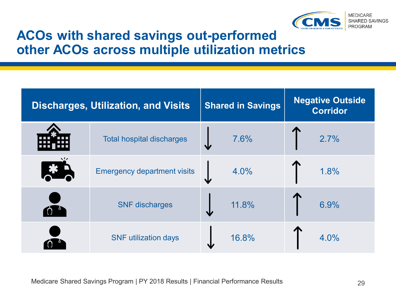

### **ACOs with shared savings out-performed other ACOs across multiple utilization metrics**

| <b>Discharges, Utilization, and Visits</b> | <b>Shared in Savings</b> | <b>Negative Outside</b><br><b>Corridor</b> |  |
|--------------------------------------------|--------------------------|--------------------------------------------|--|
| <b>Total hospital discharges</b>           | 7.6%<br>₩                | 2.7%                                       |  |
| <b>Emergency department visits</b>         | 4.0%                     | 1.8%                                       |  |
| <b>SNF</b> discharges                      | 11.8%                    | 6.9%                                       |  |
| <b>SNF</b> utilization days                | 16.8%                    | 4.0%                                       |  |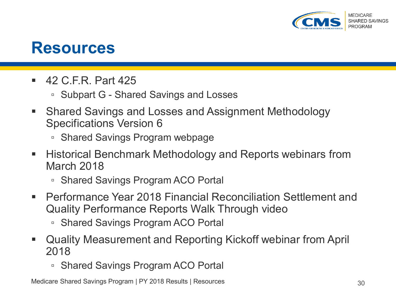

### **Resources**

- 42 C.F.R. Part 425
	- Subpart G Shared Savings and Losses
- Shared Savings and Losses and Assignment Methodology Specifications Version 6
	- Shared Savings Program webpage
- $\blacksquare$  Historical Benchmark Methodology and Reports webinars from March 2018
	- Shared Savings Program ACO Portal
- Performance Year 2018 Financial Reconciliation Settlement and Quality Performance Reports Walk Through video
	- Shared Savings Program ACO Portal
- Quality Measurement and Reporting Kickoff webinar from April 2018
	- Shared Savings Program ACO Portal

Medicare Shared Savings Program | PY 2018 Results | Resources 30